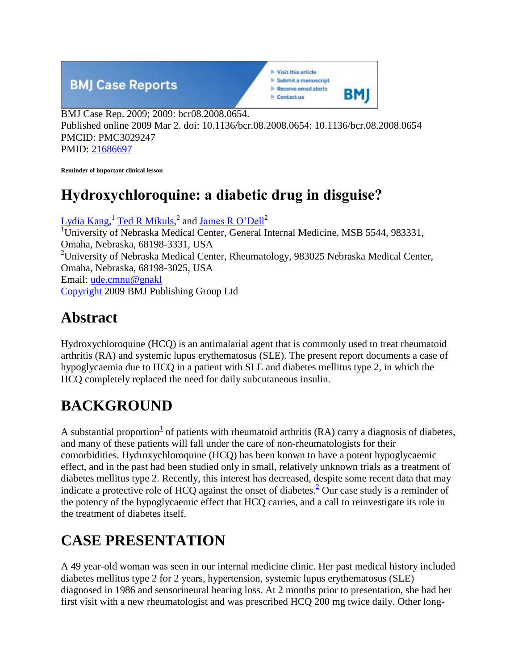

BMJ Case Rep. 2009; 2009: bcr08.2008.0654. Published online 2009 Mar 2. doi: 10.1136/bcr.08.2008.0654: 10.1136/bcr.08.2008.0654 PMCID: PMC3029247 PMID: [21686697](https://www.ncbi.nlm.nih.gov/pubmed/21686697)

**Reminder of important clinical lesson**

## **Hydroxychloroquine: a diabetic drug in disguise?**

Lydia  $\text{Kang}$ ,<sup>1</sup> [Ted R Mikuls,](https://www.ncbi.nlm.nih.gov/pubmed/?term=Mikuls%20TR%5BAuthor%5D&cauthor=true&cauthor_uid=21686697)<sup>2</sup> and <u>James R O'Dell</u><sup>2</sup> <sup>1</sup>University of Nebraska Medical Center, General Internal Medicine, MSB 5544, 983331, Omaha, Nebraska, 68198-3331, USA <sup>2</sup>University of Nebraska Medical Center, Rheumatology, 983025 Nebraska Medical Center, Omaha, Nebraska, 68198-3025, USA Email: [ude.cmnu@gnakl](mailto:dev@null) [Copyright](https://www.ncbi.nlm.nih.gov/pmc/about/copyright/) 2009 BMJ Publishing Group Ltd

#### **Abstract**

Hydroxychloroquine (HCQ) is an antimalarial agent that is commonly used to treat rheumatoid arthritis (RA) and systemic lupus erythematosus (SLE). The present report documents a case of hypoglycaemia due to HCQ in a patient with SLE and diabetes mellitus type 2, in which the HCQ completely replaced the need for daily subcutaneous insulin.

## **BACKGROUND**

A substa[n](https://www.ncbi.nlm.nih.gov/pmc/articles/PMC3029247/?report=printable#b1)tial proportion<sup>1</sup> of patients with rheumatoid arthritis (RA) carry a diagnosis of diabetes, and many of these patients will fall under the care of non-rheumatologists for their comorbidities. Hydroxychloroquine (HCQ) has been known to have a potent hypoglycaemic effect, and in the past had been studied only in small, relatively unknown trials as a treatment of diabetes mellitus type 2. Recently, this interest has decreased, despite some recent data that may indicate a protective role of HCQ against the onset of diabetes[.](https://www.ncbi.nlm.nih.gov/pmc/articles/PMC3029247/?report=printable#b2)<sup>2</sup> Our case study is a reminder of the potency of the hypoglycaemic effect that HCQ carries, and a call to reinvestigate its role in the treatment of diabetes itself.

# **CASE PRESENTATION**

A 49 year-old woman was seen in our internal medicine clinic. Her past medical history included diabetes mellitus type 2 for 2 years, hypertension, systemic lupus erythematosus (SLE) diagnosed in 1986 and sensorineural hearing loss. At 2 months prior to presentation, she had her first visit with a new rheumatologist and was prescribed HCQ 200 mg twice daily. Other long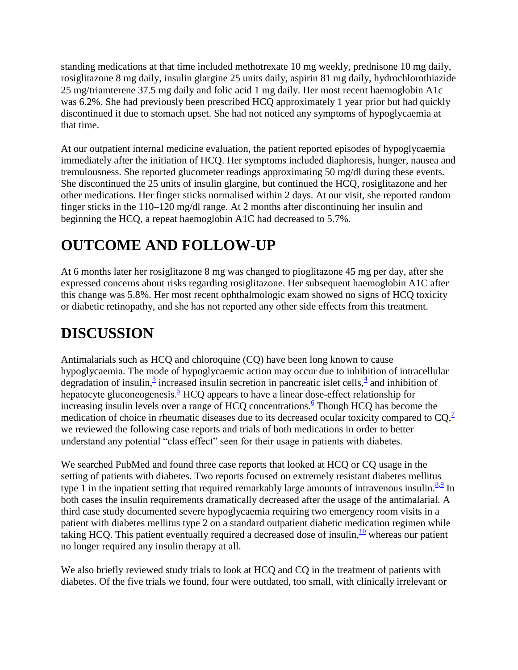standing medications at that time included methotrexate 10 mg weekly, prednisone 10 mg daily, rosiglitazone 8 mg daily, insulin glargine 25 units daily, aspirin 81 mg daily, hydrochlorothiazide 25 mg/triamterene 37.5 mg daily and folic acid 1 mg daily. Her most recent haemoglobin A1c was 6.2%. She had previously been prescribed HCQ approximately 1 year prior but had quickly discontinued it due to stomach upset. She had not noticed any symptoms of hypoglycaemia at that time.

At our outpatient internal medicine evaluation, the patient reported episodes of hypoglycaemia immediately after the initiation of HCQ. Her symptoms included diaphoresis, hunger, nausea and tremulousness. She reported glucometer readings approximating 50 mg/dl during these events. She discontinued the 25 units of insulin glargine, but continued the HCQ, rosiglitazone and her other medications. Her finger sticks normalised within 2 days. At our visit, she reported random finger sticks in the 110–120 mg/dl range. At 2 months after discontinuing her insulin and beginning the HCQ, a repeat haemoglobin A1C had decreased to 5.7%.

## **OUTCOME AND FOLLOW-UP**

At 6 months later her rosiglitazone 8 mg was changed to pioglitazone 45 mg per day, after she expressed concerns about risks regarding rosiglitazone. Her subsequent haemoglobin A1C after this change was 5.8%. Her most recent ophthalmologic exam showed no signs of HCQ toxicity or diabetic retinopathy, and she has not reported any other side effects from this treatment.

# **DISCUSSION**

Antimalarials such as HCQ and chloroquine (CQ) have been long known to cause hypoglycaemia. The mode of hypoglycaemic action may occur due to inhibition of intracellular degradation of insulin[,](https://www.ncbi.nlm.nih.gov/pmc/articles/PMC3029247/?report=printable#b4)<sup>3</sup> increased insulin secretion in pancreatic islet cells,<sup>4</sup> and inhibition of hepatocyte gluconeogenesis.<sup>[5](https://www.ncbi.nlm.nih.gov/pmc/articles/PMC3029247/?report=printable#b5)</sup> HCQ appears to have a linear dose-effect relationship for increasing insulin levels over a range of HCQ concentrations[.](https://www.ncbi.nlm.nih.gov/pmc/articles/PMC3029247/?report=printable#b6)  $\frac{6}{5}$  Though HCQ has become the medication of choice in rheumatic diseases due to its decreased ocular toxicity compared to  $\text{CQ}$ [,](https://www.ncbi.nlm.nih.gov/pmc/articles/PMC3029247/?report=printable#b7)<sup> $\text{7}$ </sup> we reviewed the following case reports and trials of both medications in order to better understand any potential "class effect" seen for their usage in patients with diabetes.

We searched PubMed and found three case reports that looked at HCQ or CQ usage in the setting of patients with diabetes. Two reports focused on extremely resistant diabetes mellitus type 1 in the inpatient setting that required remarkably large amounts of intravenous insulin.  $8.9 \text{ In}$  $8.9 \text{ In}$  $8.9 \text{ In}$ both cases the insulin requirements dramatically decreased after the usage of the antimalarial. A third case study documented severe hypoglycaemia requiring two emergency room visits in a patient with diabetes mellitus type 2 on a standard outpatient diabetic medication regimen while taking HCQ. This patient eventually required a decreased dose of insulin,  $\frac{10}{10}$  $\frac{10}{10}$  $\frac{10}{10}$  whereas our patient no longer required any insulin therapy at all.

We also briefly reviewed study trials to look at HCQ and CQ in the treatment of patients with diabetes. Of the five trials we found, four were outdated, too small, with clinically irrelevant or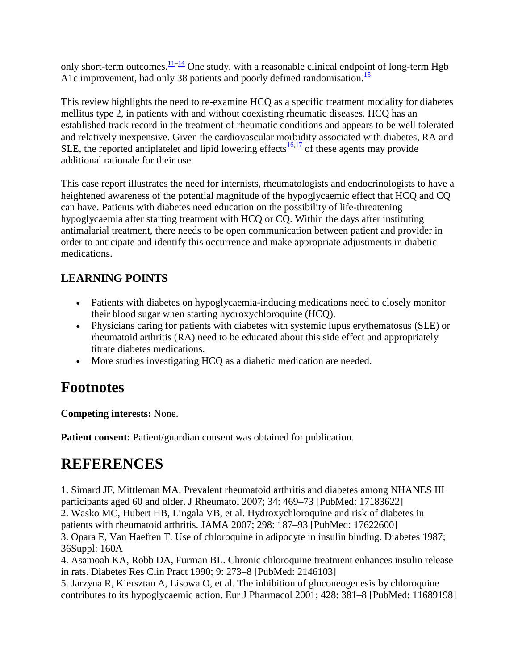only short-term outcomes.  $\frac{11-14}{2}$  $\frac{11-14}{2}$  $\frac{11-14}{2}$  One study, with a reasonable clinical endpoint of long-term Hgb A1c improvement, had only 38 patients and poorly defined randomisation.<sup>[15](https://www.ncbi.nlm.nih.gov/pmc/articles/PMC3029247/?report=printable#b15)</sup>

This review highlights the need to re-examine HCQ as a specific treatment modality for diabetes mellitus type 2, in patients with and without coexisting rheumatic diseases. HCQ has an established track record in the treatment of rheumatic conditions and appears to be well tolerated and relatively inexpensive. Given the cardiovascular morbidity associated with diabetes, RA and SLE, the reported antiplatelet and lipid lowering effects  $\frac{16,17}{16}$  $\frac{16,17}{16}$  $\frac{16,17}{16}$  $\frac{16,17}{16}$  of these agents may provide additional rationale for their use.

This case report illustrates the need for internists, rheumatologists and endocrinologists to have a heightened awareness of the potential magnitude of the hypoglycaemic effect that HCQ and CQ can have. Patients with diabetes need education on the possibility of life-threatening hypoglycaemia after starting treatment with HCQ or CQ. Within the days after instituting antimalarial treatment, there needs to be open communication between patient and provider in order to anticipate and identify this occurrence and make appropriate adjustments in diabetic medications.

#### **LEARNING POINTS**

- Patients with diabetes on hypoglycaemia-inducing medications need to closely monitor their blood sugar when starting hydroxychloroquine (HCQ).
- Physicians caring for patients with diabetes with systemic lupus erythematosus (SLE) or rheumatoid arthritis (RA) need to be educated about this side effect and appropriately titrate diabetes medications.
- More studies investigating HCQ as a diabetic medication are needed.

# **Footnotes**

**Competing interests:** None.

**Patient consent:** Patient/guardian consent was obtained for publication.

# **REFERENCES**

1. Simard JF, Mittleman MA. Prevalent rheumatoid arthritis and diabetes among NHANES III participants aged 60 and older. J Rheumatol 2007; 34: 469–73 [PubMed: 17183622] 2. Wasko MC, Hubert HB, Lingala VB, et al. Hydroxychloroquine and risk of diabetes in patients with rheumatoid arthritis. JAMA 2007; 298: 187–93 [PubMed: 17622600] 3. Opara E, Van Haeften T. Use of chloroquine in adipocyte in insulin binding. Diabetes 1987; 36Suppl: 160A

4. Asamoah KA, Robb DA, Furman BL. Chronic chloroquine treatment enhances insulin release in rats. Diabetes Res Clin Pract 1990; 9: 273–8 [PubMed: 2146103]

5. Jarzyna R, Kiersztan A, Lisowa O, et al. The inhibition of gluconeogenesis by chloroquine contributes to its hypoglycaemic action. Eur J Pharmacol 2001; 428: 381–8 [PubMed: 11689198]